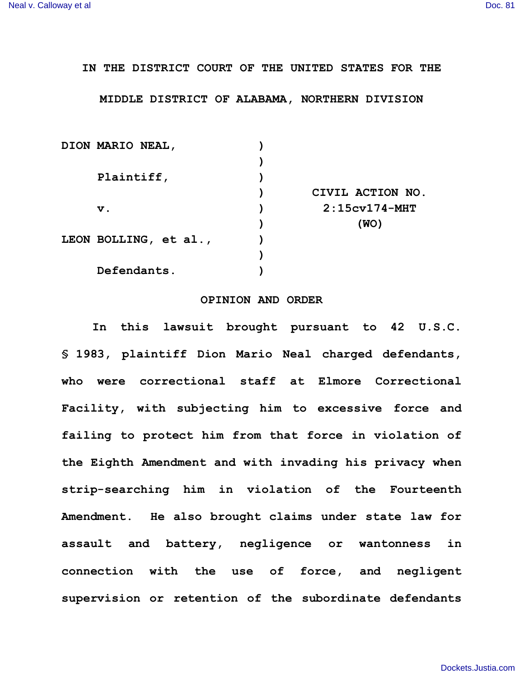## **IN THE DISTRICT COURT OF THE UNITED STATES FOR THE**

## **MIDDLE DISTRICT OF ALABAMA, NORTHERN DIVISION**

|  | DION MARIO NEAL,      |                  |
|--|-----------------------|------------------|
|  |                       |                  |
|  | Plaintiff,            |                  |
|  |                       | CIVIL ACTION NO. |
|  | $\mathbf v$ .         | $2:15cv174$ -MHT |
|  |                       | (WO)             |
|  | LEON BOLLING, et al., |                  |
|  |                       |                  |
|  | Defendants.           |                  |

## **OPINION AND ORDER**

**In this lawsuit brought pursuant to 42 U.S.C. § 1983, plaintiff Dion Mario Neal charged defendants, who were correctional staff at Elmore Correctional Facility, with subjecting him to excessive force and failing to protect him from that force in violation of the Eighth Amendment and with invading his privacy when strip-searching him in violation of the Fourteenth Amendment. He also brought claims under state law for assault and battery, negligence or wantonness in connection with the use of force, and negligent supervision or retention of the subordinate defendants**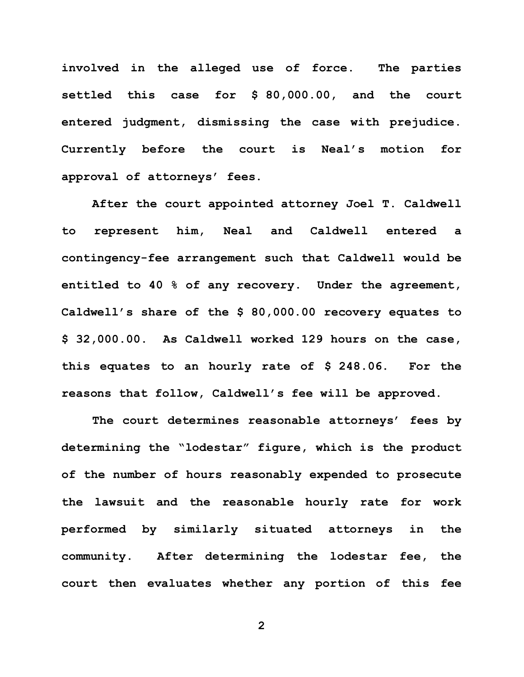**involved in the alleged use of force. The parties settled this case for \$ 80,000.00, and the court entered judgment, dismissing the case with prejudice. Currently before the court is Neal's motion for approval of attorneys' fees.**

**After the court appointed attorney Joel T. Caldwell to represent him, Neal and Caldwell entered a contingency-fee arrangement such that Caldwell would be entitled to 40 % of any recovery. Under the agreement, Caldwell's share of the \$ 80,000.00 recovery equates to \$ 32,000.00. As Caldwell worked 129 hours on the case, this equates to an hourly rate of \$ 248.06. For the reasons that follow, Caldwell's fee will be approved.**

**The court determines reasonable attorneys' fees by determining the "lodestar" figure, which is the product of the number of hours reasonably expended to prosecute the lawsuit and the reasonable hourly rate for work performed by similarly situated attorneys in the community. After determining the lodestar fee, the court then evaluates whether any portion of this fee** 

**2**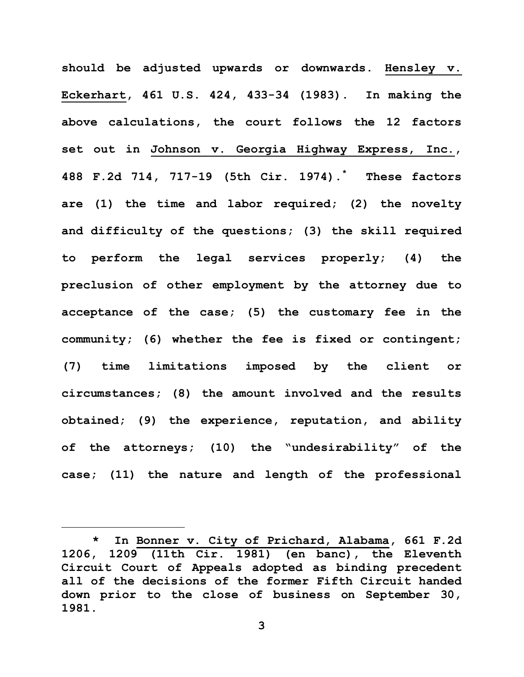**should be adjusted upwards or downwards. Hensley v. Eckerhart, 461 U.S. 424, 433-34 (1983). In making the above calculations, the court follows the 12 factors set out in Johnson v. Georgia Highway Express, Inc., 488 F.2d 714, 717-19 (5th Cir. 1974).\* These factors are (1) the time and labor required; (2) the novelty and difficulty of the questions; (3) the skill required to perform the legal services properly; (4) the preclusion of other employment by the attorney due to acceptance of the case; (5) the customary fee in the community; (6) whether the fee is fixed or contingent; (7) time limitations imposed by the client or circumstances; (8) the amount involved and the results obtained; (9) the experience, reputation, and ability of the attorneys; (10) the "undesirability" of the case; (11) the nature and length of the professional** 

i<br>L

**<sup>\*</sup> In Bonner v. City of Prichard, Alabama, 661 F.2d 1206, 1209 (11th Cir. 1981) (en banc), the Eleventh Circuit Court of Appeals adopted as binding precedent all of the decisions of the former Fifth Circuit handed down prior to the close of business on September 30, 1981.**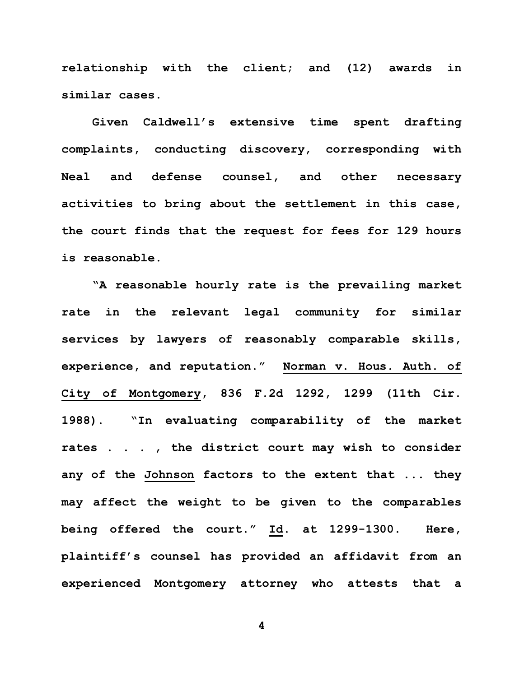**relationship with the client; and (12) awards in similar cases.** 

**Given Caldwell's extensive time spent drafting complaints, conducting discovery, corresponding with Neal and defense counsel, and other necessary activities to bring about the settlement in this case, the court finds that the request for fees for 129 hours is reasonable.** 

**"A reasonable hourly rate is the prevailing market rate in the relevant legal community for similar services by lawyers of reasonably comparable skills, experience, and reputation." Norman v. Hous. Auth. of City of Montgomery, 836 F.2d 1292, 1299 (11th Cir. 1988). "In evaluating comparability of the market rates . . . , the district court may wish to consider any of the Johnson factors to the extent that ... they may affect the weight to be given to the comparables being offered the court." Id. at 1299-1300. Here, plaintiff's counsel has provided an affidavit from an experienced Montgomery attorney who attests that a** 

**4**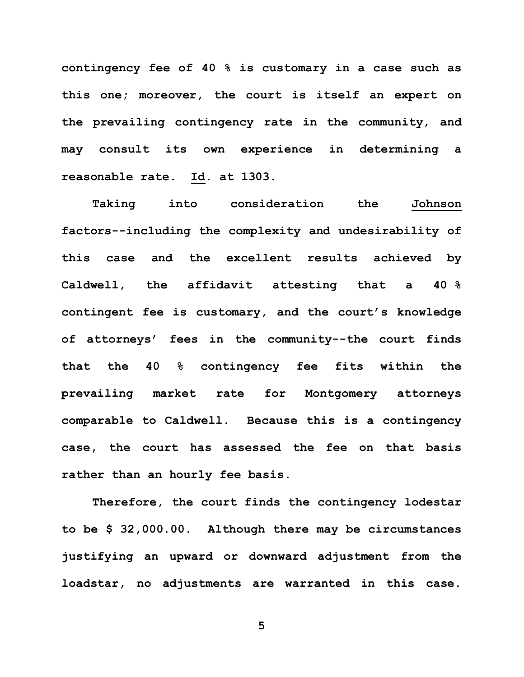**contingency fee of 40 % is customary in a case such as this one; moreover, the court is itself an expert on the prevailing contingency rate in the community, and may consult its own experience in determining a reasonable rate. Id. at 1303.**

**Taking into consideration the Johnson factors--including the complexity and undesirability of this case and the excellent results achieved by Caldwell, the affidavit attesting that a 40 % contingent fee is customary, and the court's knowledge of attorneys' fees in the community--the court finds that the 40 % contingency fee fits within the prevailing market rate for Montgomery attorneys comparable to Caldwell. Because this is a contingency case, the court has assessed the fee on that basis rather than an hourly fee basis.**

**Therefore, the court finds the contingency lodestar to be \$ 32,000.00. Although there may be circumstances justifying an upward or downward adjustment from the loadstar, no adjustments are warranted in this case.**

**5**